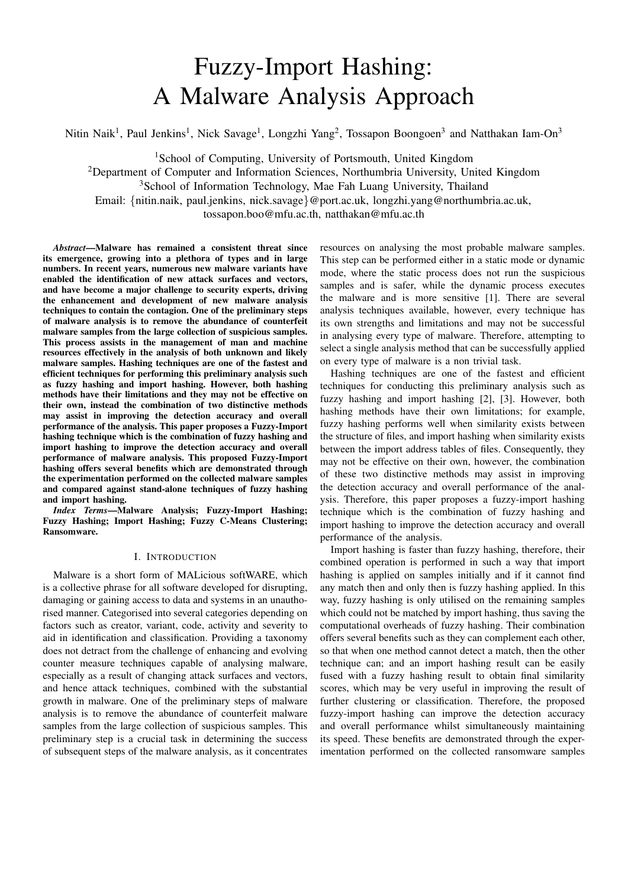# Fuzzy-Import Hashing: A Malware Analysis Approach

Nitin Naik<sup>1</sup>, Paul Jenkins<sup>1</sup>, Nick Savage<sup>1</sup>, Longzhi Yang<sup>2</sup>, Tossapon Boongoen<sup>3</sup> and Natthakan Iam-On<sup>3</sup>

<sup>1</sup>School of Computing, University of Portsmouth, United Kingdom

<sup>2</sup>Department of Computer and Information Sciences, Northumbria University, United Kingdom

<sup>3</sup>School of Information Technology, Mae Fah Luang University, Thailand

Email: {nitin.naik, paul.jenkins, nick.savage}@port.ac.uk, longzhi.yang@northumbria.ac.uk,

tossapon.boo@mfu.ac.th, natthakan@mfu.ac.th

*Abstract*—Malware has remained a consistent threat since its emergence, growing into a plethora of types and in large numbers. In recent years, numerous new malware variants have enabled the identification of new attack surfaces and vectors, and have become a major challenge to security experts, driving the enhancement and development of new malware analysis techniques to contain the contagion. One of the preliminary steps of malware analysis is to remove the abundance of counterfeit malware samples from the large collection of suspicious samples. This process assists in the management of man and machine resources effectively in the analysis of both unknown and likely malware samples. Hashing techniques are one of the fastest and efficient techniques for performing this preliminary analysis such as fuzzy hashing and import hashing. However, both hashing methods have their limitations and they may not be effective on their own, instead the combination of two distinctive methods may assist in improving the detection accuracy and overall performance of the analysis. This paper proposes a Fuzzy-Import hashing technique which is the combination of fuzzy hashing and import hashing to improve the detection accuracy and overall performance of malware analysis. This proposed Fuzzy-Import hashing offers several benefits which are demonstrated through the experimentation performed on the collected malware samples and compared against stand-alone techniques of fuzzy hashing and import hashing.

*Index Terms*—Malware Analysis; Fuzzy-Import Hashing; Fuzzy Hashing; Import Hashing; Fuzzy C-Means Clustering; Ransomware.

# I. INTRODUCTION

Malware is a short form of MALicious softWARE, which is a collective phrase for all software developed for disrupting, damaging or gaining access to data and systems in an unauthorised manner. Categorised into several categories depending on factors such as creator, variant, code, activity and severity to aid in identification and classification. Providing a taxonomy does not detract from the challenge of enhancing and evolving counter measure techniques capable of analysing malware, especially as a result of changing attack surfaces and vectors, and hence attack techniques, combined with the substantial growth in malware. One of the preliminary steps of malware analysis is to remove the abundance of counterfeit malware samples from the large collection of suspicious samples. This preliminary step is a crucial task in determining the success of subsequent steps of the malware analysis, as it concentrates

resources on analysing the most probable malware samples. This step can be performed either in a static mode or dynamic mode, where the static process does not run the suspicious samples and is safer, while the dynamic process executes the malware and is more sensitive [1]. There are several analysis techniques available, however, every technique has its own strengths and limitations and may not be successful in analysing every type of malware. Therefore, attempting to select a single analysis method that can be successfully applied on every type of malware is a non trivial task.

Hashing techniques are one of the fastest and efficient techniques for conducting this preliminary analysis such as fuzzy hashing and import hashing [2], [3]. However, both hashing methods have their own limitations; for example, fuzzy hashing performs well when similarity exists between the structure of files, and import hashing when similarity exists between the import address tables of files. Consequently, they may not be effective on their own, however, the combination of these two distinctive methods may assist in improving the detection accuracy and overall performance of the analysis. Therefore, this paper proposes a fuzzy-import hashing technique which is the combination of fuzzy hashing and import hashing to improve the detection accuracy and overall performance of the analysis.

Import hashing is faster than fuzzy hashing, therefore, their combined operation is performed in such a way that import hashing is applied on samples initially and if it cannot find any match then and only then is fuzzy hashing applied. In this way, fuzzy hashing is only utilised on the remaining samples which could not be matched by import hashing, thus saving the computational overheads of fuzzy hashing. Their combination offers several benefits such as they can complement each other, so that when one method cannot detect a match, then the other technique can; and an import hashing result can be easily fused with a fuzzy hashing result to obtain final similarity scores, which may be very useful in improving the result of further clustering or classification. Therefore, the proposed fuzzy-import hashing can improve the detection accuracy and overall performance whilst simultaneously maintaining its speed. These benefits are demonstrated through the experimentation performed on the collected ransomware samples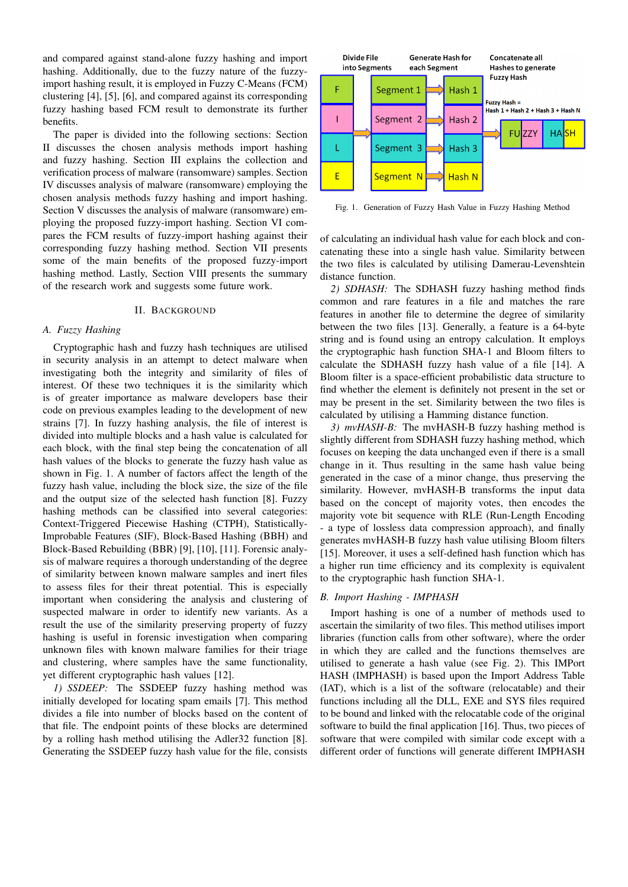and compared against stand-alone fuzzy hashing and import hashing. Additionally, due to the fuzzy nature of the fuzzyimport hashing result, it is employed in Fuzzy C-Means (FCM) clustering [4], [5], [6], and compared against its corresponding fuzzy hashing based FCM result to demonstrate its further benefits.

The paper is divided into the following sections: Section II discusses the chosen analysis methods import hashing and fuzzy hashing. Section III explains the collection and verification process of malware (ransomware) samples. Section IV discusses analysis of malware (ransomware) employing the chosen analysis methods fuzzy hashing and import hashing. Section V discusses the analysis of malware (ransomware) employing the proposed fuzzy-import hashing. Section VI compares the FCM results of fuzzy-import hashing against their corresponding fuzzy hashing method. Section VII presents some of the main benefits of the proposed fuzzy-import hashing method. Lastly, Section VIII presents the summary of the research work and suggests some future work.

## II. BACKGROUND

## *A. Fuzzy Hashing*

Cryptographic hash and fuzzy hash techniques are utilised in security analysis in an attempt to detect malware when investigating both the integrity and similarity of files of interest. Of these two techniques it is the similarity which is of greater importance as malware developers base their code on previous examples leading to the development of new strains [7]. In fuzzy hashing analysis, the file of interest is divided into multiple blocks and a hash value is calculated for each block, with the final step being the concatenation of all hash values of the blocks to generate the fuzzy hash value as shown in Fig. 1. A number of factors affect the length of the fuzzy hash value, including the block size, the size of the file and the output size of the selected hash function [8]. Fuzzy hashing methods can be classified into several categories: Context-Triggered Piecewise Hashing (CTPH), Statistically-Improbable Features (SIF), Block-Based Hashing (BBH) and Block-Based Rebuilding (BBR) [9], [10], [11]. Forensic analysis of malware requires a thorough understanding of the degree of similarity between known malware samples and inert files to assess files for their threat potential. This is especially important when considering the analysis and clustering of suspected malware in order to identify new variants. As a result the use of the similarity preserving property of fuzzy hashing is useful in forensic investigation when comparing unknown files with known malware families for their triage and clustering, where samples have the same functionality, yet different cryptographic hash values [12].

*1) SSDEEP:* The SSDEEP fuzzy hashing method was initially developed for locating spam emails [7]. This method divides a file into number of blocks based on the content of that file. The endpoint points of these blocks are determined by a rolling hash method utilising the Adler32 function [8]. Generating the SSDEEP fuzzy hash value for the file, consists



Fig. 1. Generation of Fuzzy Hash Value in Fuzzy Hashing Method

of calculating an individual hash value for each block and concatenating these into a single hash value. Similarity between the two files is calculated by utilising Damerau-Levenshtein distance function.

*2) SDHASH:* The SDHASH fuzzy hashing method finds common and rare features in a file and matches the rare features in another file to determine the degree of similarity between the two files [13]. Generally, a feature is a 64-byte string and is found using an entropy calculation. It employs the cryptographic hash function SHA-1 and Bloom filters to calculate the SDHASH fuzzy hash value of a file [14]. A Bloom filter is a space-efficient probabilistic data structure to find whether the element is definitely not present in the set or may be present in the set. Similarity between the two files is calculated by utilising a Hamming distance function.

*3) mvHASH-B:* The mvHASH-B fuzzy hashing method is slightly different from SDHASH fuzzy hashing method, which focuses on keeping the data unchanged even if there is a small change in it. Thus resulting in the same hash value being generated in the case of a minor change, thus preserving the similarity. However, mvHASH-B transforms the input data based on the concept of majority votes, then encodes the majority vote bit sequence with RLE (Run-Length Encoding - a type of lossless data compression approach), and finally generates mvHASH-B fuzzy hash value utilising Bloom filters [15]. Moreover, it uses a self-defined hash function which has a higher run time efficiency and its complexity is equivalent to the cryptographic hash function SHA-1.

## *B. Import Hashing - IMPHASH*

Import hashing is one of a number of methods used to ascertain the similarity of two files. This method utilises import libraries (function calls from other software), where the order in which they are called and the functions themselves are utilised to generate a hash value (see Fig. 2). This IMPort HASH (IMPHASH) is based upon the Import Address Table (IAT), which is a list of the software (relocatable) and their functions including all the DLL, EXE and SYS files required to be bound and linked with the relocatable code of the original software to build the final application [16]. Thus, two pieces of software that were compiled with similar code except with a different order of functions will generate different IMPHASH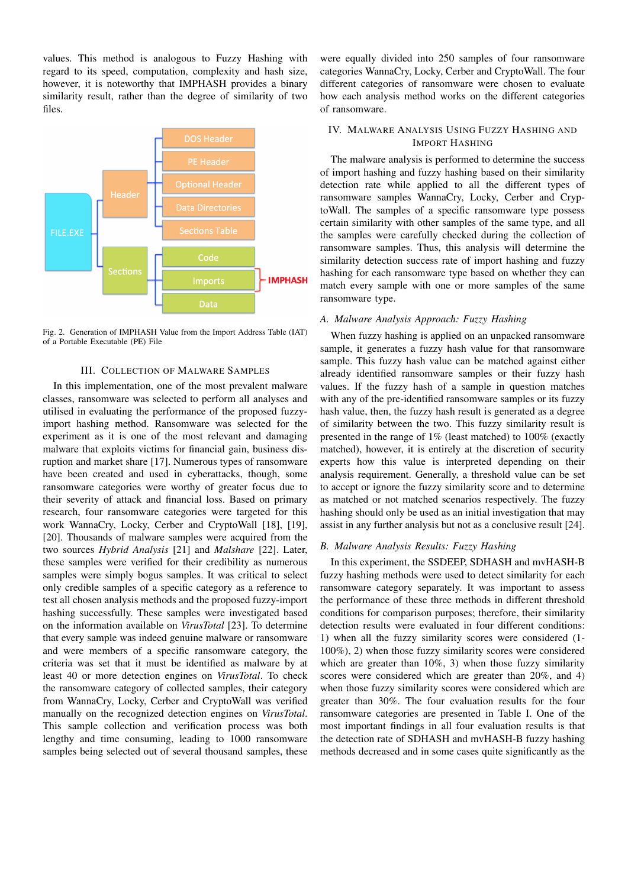values. This method is analogous to Fuzzy Hashing with regard to its speed, computation, complexity and hash size, however, it is noteworthy that IMPHASH provides a binary similarity result, rather than the degree of similarity of two files.



Fig. 2. Generation of IMPHASH Value from the Import Address Table (IAT) of a Portable Executable (PE) File

## III. COLLECTION OF MALWARE SAMPLES

In this implementation, one of the most prevalent malware classes, ransomware was selected to perform all analyses and utilised in evaluating the performance of the proposed fuzzyimport hashing method. Ransomware was selected for the experiment as it is one of the most relevant and damaging malware that exploits victims for financial gain, business disruption and market share [17]. Numerous types of ransomware have been created and used in cyberattacks, though, some ransomware categories were worthy of greater focus due to their severity of attack and financial loss. Based on primary research, four ransomware categories were targeted for this work WannaCry, Locky, Cerber and CryptoWall [18], [19], [20]. Thousands of malware samples were acquired from the two sources *Hybrid Analysis* [21] and *Malshare* [22]. Later, these samples were verified for their credibility as numerous samples were simply bogus samples. It was critical to select only credible samples of a specific category as a reference to test all chosen analysis methods and the proposed fuzzy-import hashing successfully. These samples were investigated based on the information available on *VirusTotal* [23]. To determine that every sample was indeed genuine malware or ransomware and were members of a specific ransomware category, the criteria was set that it must be identified as malware by at least 40 or more detection engines on *VirusTotal*. To check the ransomware category of collected samples, their category from WannaCry, Locky, Cerber and CryptoWall was verified manually on the recognized detection engines on *VirusTotal*. This sample collection and verification process was both lengthy and time consuming, leading to 1000 ransomware samples being selected out of several thousand samples, these

were equally divided into 250 samples of four ransomware categories WannaCry, Locky, Cerber and CryptoWall. The four different categories of ransomware were chosen to evaluate how each analysis method works on the different categories of ransomware.

## IV. MALWARE ANALYSIS USING FUZZY HASHING AND IMPORT HASHING

The malware analysis is performed to determine the success of import hashing and fuzzy hashing based on their similarity detection rate while applied to all the different types of ransomware samples WannaCry, Locky, Cerber and CryptoWall. The samples of a specific ransomware type possess certain similarity with other samples of the same type, and all the samples were carefully checked during the collection of ransomware samples. Thus, this analysis will determine the similarity detection success rate of import hashing and fuzzy hashing for each ransomware type based on whether they can match every sample with one or more samples of the same ransomware type.

## *A. Malware Analysis Approach: Fuzzy Hashing*

When fuzzy hashing is applied on an unpacked ransomware sample, it generates a fuzzy hash value for that ransomware sample. This fuzzy hash value can be matched against either already identified ransomware samples or their fuzzy hash values. If the fuzzy hash of a sample in question matches with any of the pre-identified ransomware samples or its fuzzy hash value, then, the fuzzy hash result is generated as a degree of similarity between the two. This fuzzy similarity result is presented in the range of 1% (least matched) to 100% (exactly matched), however, it is entirely at the discretion of security experts how this value is interpreted depending on their analysis requirement. Generally, a threshold value can be set to accept or ignore the fuzzy similarity score and to determine as matched or not matched scenarios respectively. The fuzzy hashing should only be used as an initial investigation that may assist in any further analysis but not as a conclusive result [24].

## *B. Malware Analysis Results: Fuzzy Hashing*

In this experiment, the SSDEEP, SDHASH and mvHASH-B fuzzy hashing methods were used to detect similarity for each ransomware category separately. It was important to assess the performance of these three methods in different threshold conditions for comparison purposes; therefore, their similarity detection results were evaluated in four different conditions: 1) when all the fuzzy similarity scores were considered (1- 100%), 2) when those fuzzy similarity scores were considered which are greater than 10%, 3) when those fuzzy similarity scores were considered which are greater than 20%, and 4) when those fuzzy similarity scores were considered which are greater than 30%. The four evaluation results for the four ransomware categories are presented in Table I. One of the most important findings in all four evaluation results is that the detection rate of SDHASH and mvHASH-B fuzzy hashing methods decreased and in some cases quite significantly as the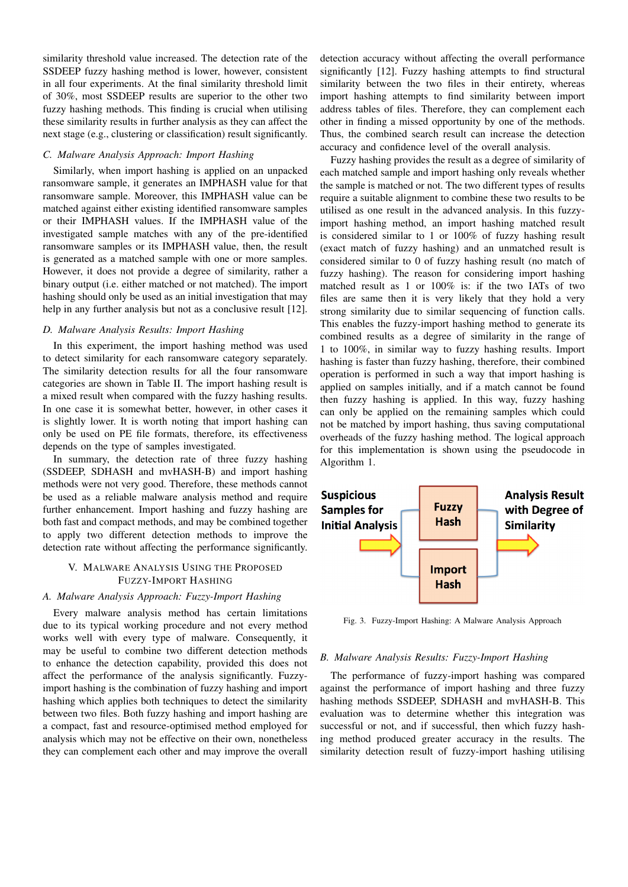similarity threshold value increased. The detection rate of the SSDEEP fuzzy hashing method is lower, however, consistent in all four experiments. At the final similarity threshold limit of 30%, most SSDEEP results are superior to the other two fuzzy hashing methods. This finding is crucial when utilising these similarity results in further analysis as they can affect the next stage (e.g., clustering or classification) result significantly.

## *C. Malware Analysis Approach: Import Hashing*

Similarly, when import hashing is applied on an unpacked ransomware sample, it generates an IMPHASH value for that ransomware sample. Moreover, this IMPHASH value can be matched against either existing identified ransomware samples or their IMPHASH values. If the IMPHASH value of the investigated sample matches with any of the pre-identified ransomware samples or its IMPHASH value, then, the result is generated as a matched sample with one or more samples. However, it does not provide a degree of similarity, rather a binary output (i.e. either matched or not matched). The import hashing should only be used as an initial investigation that may help in any further analysis but not as a conclusive result [12].

## *D. Malware Analysis Results: Import Hashing*

In this experiment, the import hashing method was used to detect similarity for each ransomware category separately. The similarity detection results for all the four ransomware categories are shown in Table II. The import hashing result is a mixed result when compared with the fuzzy hashing results. In one case it is somewhat better, however, in other cases it is slightly lower. It is worth noting that import hashing can only be used on PE file formats, therefore, its effectiveness depends on the type of samples investigated.

In summary, the detection rate of three fuzzy hashing (SSDEEP, SDHASH and mvHASH-B) and import hashing methods were not very good. Therefore, these methods cannot be used as a reliable malware analysis method and require further enhancement. Import hashing and fuzzy hashing are both fast and compact methods, and may be combined together to apply two different detection methods to improve the detection rate without affecting the performance significantly.

## V. MALWARE ANALYSIS USING THE PROPOSED FUZZY-IMPORT HASHING

## *A. Malware Analysis Approach: Fuzzy-Import Hashing*

Every malware analysis method has certain limitations due to its typical working procedure and not every method works well with every type of malware. Consequently, it may be useful to combine two different detection methods to enhance the detection capability, provided this does not affect the performance of the analysis significantly. Fuzzyimport hashing is the combination of fuzzy hashing and import hashing which applies both techniques to detect the similarity between two files. Both fuzzy hashing and import hashing are a compact, fast and resource-optimised method employed for analysis which may not be effective on their own, nonetheless they can complement each other and may improve the overall

detection accuracy without affecting the overall performance significantly [12]. Fuzzy hashing attempts to find structural similarity between the two files in their entirety, whereas import hashing attempts to find similarity between import address tables of files. Therefore, they can complement each other in finding a missed opportunity by one of the methods. Thus, the combined search result can increase the detection accuracy and confidence level of the overall analysis.

Fuzzy hashing provides the result as a degree of similarity of each matched sample and import hashing only reveals whether the sample is matched or not. The two different types of results require a suitable alignment to combine these two results to be utilised as one result in the advanced analysis. In this fuzzyimport hashing method, an import hashing matched result is considered similar to 1 or 100% of fuzzy hashing result (exact match of fuzzy hashing) and an unmatched result is considered similar to 0 of fuzzy hashing result (no match of fuzzy hashing). The reason for considering import hashing matched result as 1 or 100% is: if the two IATs of two files are same then it is very likely that they hold a very strong similarity due to similar sequencing of function calls. This enables the fuzzy-import hashing method to generate its combined results as a degree of similarity in the range of 1 to 100%, in similar way to fuzzy hashing results. Import hashing is faster than fuzzy hashing, therefore, their combined operation is performed in such a way that import hashing is applied on samples initially, and if a match cannot be found then fuzzy hashing is applied. In this way, fuzzy hashing can only be applied on the remaining samples which could not be matched by import hashing, thus saving computational overheads of the fuzzy hashing method. The logical approach for this implementation is shown using the pseudocode in Algorithm 1.



Fig. 3. Fuzzy-Import Hashing: A Malware Analysis Approach

#### *B. Malware Analysis Results: Fuzzy-Import Hashing*

The performance of fuzzy-import hashing was compared against the performance of import hashing and three fuzzy hashing methods SSDEEP, SDHASH and mvHASH-B. This evaluation was to determine whether this integration was successful or not, and if successful, then which fuzzy hashing method produced greater accuracy in the results. The similarity detection result of fuzzy-import hashing utilising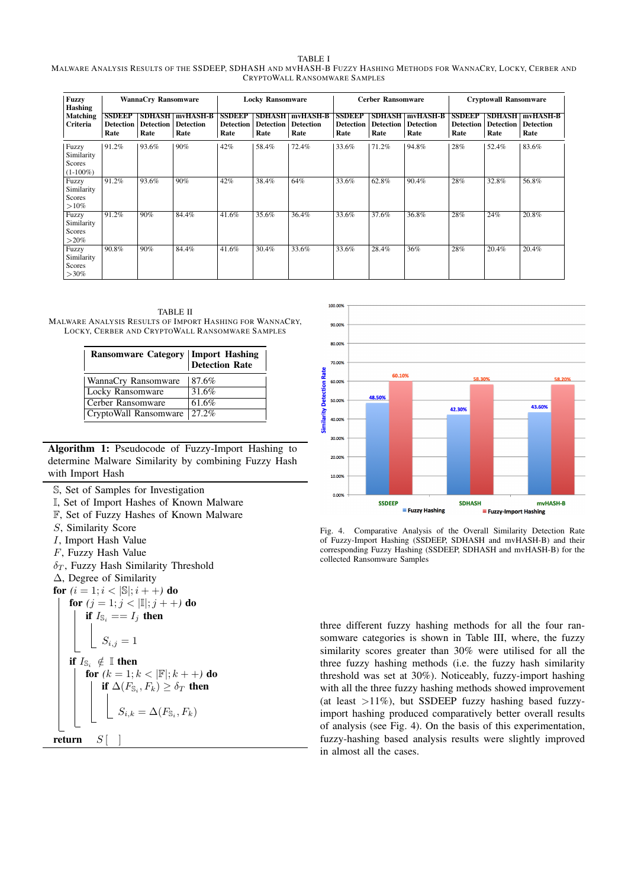#### TABLE I MALWARE ANALYSIS RESULTS OF THE SSDEEP, SDHASH AND MVHASH-B FUZZY HASHING METHODS FOR WANNACRY, LOCKY, CERBER AND CRYPTOWALL RANSOMWARE SAMPLES

| <b>Fuzzy</b><br><b>Hashing</b><br>Matching<br>Criteria | <b>WannaCry Ransomware</b>                |                                           |                                             |                                           | <b>Locky Ransomware</b>                   |                                      |                                           | <b>Cerber Ransomware</b>                  |                                      | <b>Cryptowall Ransomware</b>              |                                           |                                      |
|--------------------------------------------------------|-------------------------------------------|-------------------------------------------|---------------------------------------------|-------------------------------------------|-------------------------------------------|--------------------------------------|-------------------------------------------|-------------------------------------------|--------------------------------------|-------------------------------------------|-------------------------------------------|--------------------------------------|
|                                                        | <b>SSDEEP</b><br><b>Detection</b><br>Rate | <b>SDHASH</b><br><b>Detection</b><br>Rate | <b>mvHASH-B</b><br><b>Detection</b><br>Rate | <b>SSDEEP</b><br><b>Detection</b><br>Rate | <b>SDHASH</b><br><b>Detection</b><br>Rate | mvHASH-B<br><b>Detection</b><br>Rate | <b>SSDEEP</b><br><b>Detection</b><br>Rate | <b>SDHASH</b><br><b>Detection</b><br>Rate | mvHASH-B<br><b>Detection</b><br>Rate | <b>SSDEEP</b><br><b>Detection</b><br>Rate | <b>SDHASH</b><br><b>Detection</b><br>Rate | mvHASH-B<br><b>Detection</b><br>Rate |
| Fuzzy<br>Similarity<br>Scores<br>$(1-100\%)$           | 91.2%                                     | 93.6%                                     | $90\%$                                      | 42%                                       | 58.4%                                     | 72.4%                                | 33.6%                                     | 71.2%                                     | 94.8%                                | 28%                                       | 52.4%                                     | 83.6%                                |
| Fuzzy<br>Similarity<br>Scores<br>$>10\%$               | 91.2%                                     | 93.6%                                     | 90%                                         | 42%                                       | 38.4%                                     | 64%                                  | 33.6%                                     | 62.8%                                     | 90.4%                                | 28%                                       | 32.8%                                     | 56.8%                                |
| Fuzzy<br>Similarity<br>Scores<br>$>$ 20%               | 91.2%                                     | 90%                                       | 84.4%                                       | 41.6%                                     | 35.6%                                     | 36.4%                                | 33.6%                                     | 37.6%                                     | 36.8%                                | 28%                                       | 24%                                       | 20.8%                                |
| Fuzzy<br>Similarity<br>Scores<br>$>30\%$               | 90.8%                                     | 90%                                       | 84.4%                                       | 41.6%                                     | 30.4%                                     | 33.6%                                | 33.6%                                     | 28.4%                                     | 36%                                  | 28%                                       | 20.4%                                     | 20.4%                                |

TABLE II MALWARE ANALYSIS RESULTS OF IMPORT HASHING FOR WANNACRY, LOCKY, CERBER AND CRYPTOWALL RANSOMWARE SAMPLES

| <b>Ransomware Category   Import Hashing Detection Rate</b> |           |
|------------------------------------------------------------|-----------|
| WannaCry Ransomware                                        | 87.6%     |
| Locky Ransomware                                           | 31.6%     |
| Cerber Ransomware                                          | 61.6%     |
| CryptoWall Ransomware                                      | $127.2\%$ |

Algorithm 1: Pseudocode of Fuzzy-Import Hashing to determine Malware Similarity by combining Fuzzy Hash with Import Hash

- S, Set of Samples for Investigation
- I, Set of Import Hashes of Known Malware
- F, Set of Fuzzy Hashes of Known Malware
- S, Similarity Score
- I, Import Hash Value
- F, Fuzzy Hash Value
- $\delta_T$ , Fuzzy Hash Similarity Threshold
- ∆, Degree of Similarity
- **for**  $(i = 1; i < |\mathbb{S}|; i + +)$  **do**

for  $(j = 1; j < |\mathbb{I}|; j + +)$  do if  $I_{\mathbb{S}_i} == I_i$  then  $S_{i,j} = 1$ if  $I_{\mathbb{S}_i} \notin \mathbb{I}$  then for  $(k = 1; k < |\mathbb{F}|; k + +)$  do if  $\Delta(F_{\mathbb{S}_i}, F_k) \geq \delta_T$  then  $S_{i,k} = \Delta(F_{\mathbb{S}_i}, F_k)$ 





Fig. 4. Comparative Analysis of the Overall Similarity Detection Rate of Fuzzy-Import Hashing (SSDEEP, SDHASH and mvHASH-B) and their corresponding Fuzzy Hashing (SSDEEP, SDHASH and mvHASH-B) for the collected Ransomware Samples

three different fuzzy hashing methods for all the four ransomware categories is shown in Table III, where, the fuzzy similarity scores greater than 30% were utilised for all the three fuzzy hashing methods (i.e. the fuzzy hash similarity threshold was set at 30%). Noticeably, fuzzy-import hashing with all the three fuzzy hashing methods showed improvement (at least  $>11\%$ ), but SSDEEP fuzzy hashing based fuzzyimport hashing produced comparatively better overall results of analysis (see Fig. 4). On the basis of this experimentation, fuzzy-hashing based analysis results were slightly improved in almost all the cases.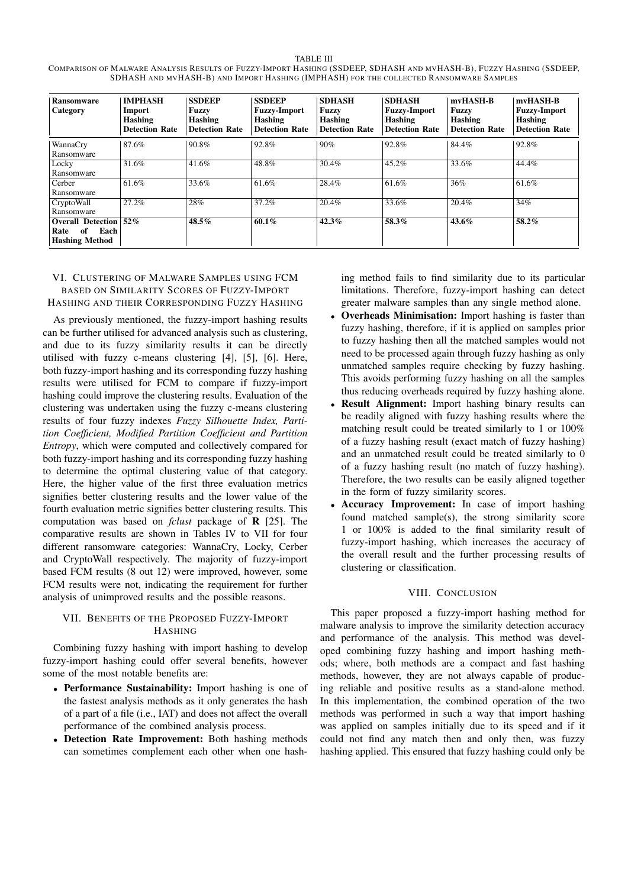TABLE III COMPARISON OF MALWARE ANALYSIS RESULTS OF FUZZY-IMPORT HASHING (SSDEEP, SDHASH AND MVHASH-B), FUZZY HASHING (SSDEEP, SDHASH AND MVHASH-B) AND IMPORT HASHING (IMPHASH) FOR THE COLLECTED RANSOMWARE SAMPLES

| <b>Ransomware</b><br>Category                                           | <b>IMPHASH</b><br>Import<br><b>Hashing</b><br><b>Detection Rate</b> | <b>SSDEEP</b><br><b>Fuzzy</b><br>Hashing<br><b>Detection Rate</b> | <b>SSDEEP</b><br><b>Fuzzy-Import</b><br>Hashing<br><b>Detection Rate</b> | <b>SDHASH</b><br>Fuzzy<br><b>Hashing</b><br><b>Detection Rate</b> | <b>SDHASH</b><br><b>Fuzzy-Import</b><br>Hashing<br><b>Detection Rate</b> | mvHASH-B<br><b>Fuzzy</b><br>Hashing<br><b>Detection Rate</b> | mvHASH-B<br><b>Fuzzy-Import</b><br>Hashing<br><b>Detection Rate</b> |
|-------------------------------------------------------------------------|---------------------------------------------------------------------|-------------------------------------------------------------------|--------------------------------------------------------------------------|-------------------------------------------------------------------|--------------------------------------------------------------------------|--------------------------------------------------------------|---------------------------------------------------------------------|
| WannaCry<br>Ransomware                                                  | 87.6%                                                               | 90.8%                                                             | 92.8%                                                                    | 90%                                                               | 92.8%                                                                    | 84.4%                                                        | 92.8%                                                               |
| Locky<br>Ransomware                                                     | 31.6%                                                               | 41.6%                                                             | 48.8%                                                                    | 30.4%                                                             | 45.2%                                                                    | 33.6%                                                        | 44.4%                                                               |
| Cerber<br>Ransomware                                                    | 61.6%                                                               | 33.6%                                                             | 61.6%                                                                    | 28.4%                                                             | 61.6%                                                                    | 36%                                                          | 61.6%                                                               |
| CryptoWall<br>Ransomware                                                | 27.2%                                                               | 28%                                                               | 37.2%                                                                    | 20.4%                                                             | 33.6%                                                                    | 20.4%                                                        | 34%                                                                 |
| <b>Overall Detection</b><br>Each<br>of<br>Rate<br><b>Hashing Method</b> | $\sqrt{52\%}$                                                       | $48.5\%$                                                          | 60.1%                                                                    | 42.3%                                                             | 58.3%                                                                    | $43.6\%$                                                     | $58.2\%$                                                            |

# VI. CLUSTERING OF MALWARE SAMPLES USING FCM BASED ON SIMILARITY SCORES OF FUZZY-IMPORT HASHING AND THEIR CORRESPONDING FUZZY HASHING

As previously mentioned, the fuzzy-import hashing results can be further utilised for advanced analysis such as clustering, and due to its fuzzy similarity results it can be directly utilised with fuzzy c-means clustering [4], [5], [6]. Here, both fuzzy-import hashing and its corresponding fuzzy hashing results were utilised for FCM to compare if fuzzy-import hashing could improve the clustering results. Evaluation of the clustering was undertaken using the fuzzy c-means clustering results of four fuzzy indexes *Fuzzy Silhouette Index, Partition Coefficient, Modified Partition Coefficient and Partition Entropy*, which were computed and collectively compared for both fuzzy-import hashing and its corresponding fuzzy hashing to determine the optimal clustering value of that category. Here, the higher value of the first three evaluation metrics signifies better clustering results and the lower value of the fourth evaluation metric signifies better clustering results. This computation was based on *fclust* package of R [25]. The comparative results are shown in Tables IV to VII for four different ransomware categories: WannaCry, Locky, Cerber and CryptoWall respectively. The majority of fuzzy-import based FCM results (8 out 12) were improved, however, some FCM results were not, indicating the requirement for further analysis of unimproved results and the possible reasons.

# VII. BENEFITS OF THE PROPOSED FUZZY-IMPORT HASHING

Combining fuzzy hashing with import hashing to develop fuzzy-import hashing could offer several benefits, however some of the most notable benefits are:

- Performance Sustainability: Import hashing is one of the fastest analysis methods as it only generates the hash of a part of a file (i.e., IAT) and does not affect the overall performance of the combined analysis process.
- Detection Rate Improvement: Both hashing methods can sometimes complement each other when one hash-

ing method fails to find similarity due to its particular limitations. Therefore, fuzzy-import hashing can detect greater malware samples than any single method alone.

- Overheads Minimisation: Import hashing is faster than fuzzy hashing, therefore, if it is applied on samples prior to fuzzy hashing then all the matched samples would not need to be processed again through fuzzy hashing as only unmatched samples require checking by fuzzy hashing. This avoids performing fuzzy hashing on all the samples thus reducing overheads required by fuzzy hashing alone.
- Result Alignment: Import hashing binary results can be readily aligned with fuzzy hashing results where the matching result could be treated similarly to 1 or 100% of a fuzzy hashing result (exact match of fuzzy hashing) and an unmatched result could be treated similarly to 0 of a fuzzy hashing result (no match of fuzzy hashing). Therefore, the two results can be easily aligned together in the form of fuzzy similarity scores.
- Accuracy Improvement: In case of import hashing found matched sample(s), the strong similarity score 1 or 100% is added to the final similarity result of fuzzy-import hashing, which increases the accuracy of the overall result and the further processing results of clustering or classification.

# VIII. CONCLUSION

This paper proposed a fuzzy-import hashing method for malware analysis to improve the similarity detection accuracy and performance of the analysis. This method was developed combining fuzzy hashing and import hashing methods; where, both methods are a compact and fast hashing methods, however, they are not always capable of producing reliable and positive results as a stand-alone method. In this implementation, the combined operation of the two methods was performed in such a way that import hashing was applied on samples initially due to its speed and if it could not find any match then and only then, was fuzzy hashing applied. This ensured that fuzzy hashing could only be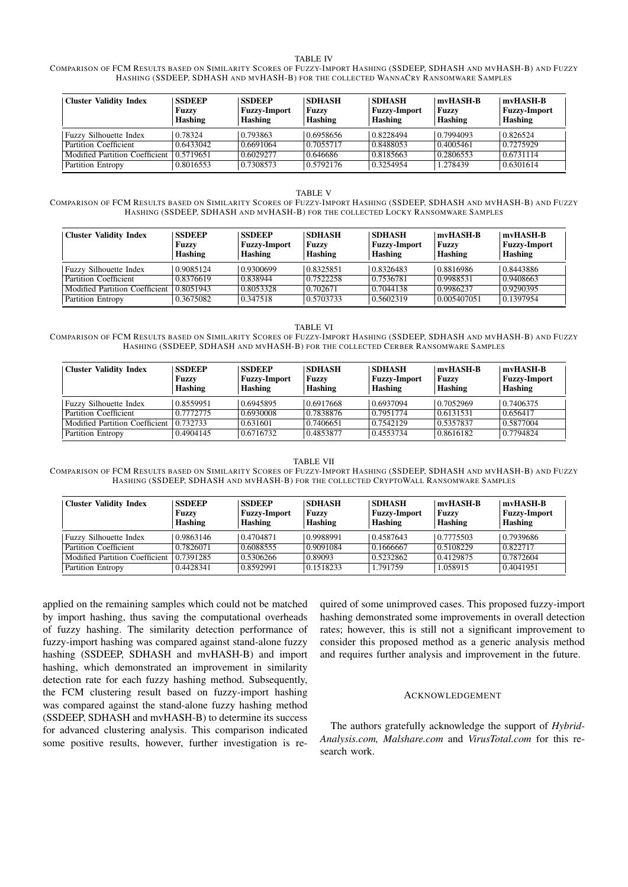#### TABLE IV

COMPARISON OF FCM RESULTS BASED ON SIMILARITY SCORES OF FUZZY-IMPORT HASHING (SSDEEP, SDHASH AND MVHASH-B) AND FUZZY HASHING (SSDEEP, SDHASH AND MVHASH-B) FOR THE COLLECTED WANNACRY RANSOMWARE SAMPLES

| <b>Cluster Validity Index</b>  | <b>SSDEEP</b><br>Fuzzy<br>Hashing | <b>SSDEEP</b><br><b>Fuzzy-Import</b><br>Hashing | <b>SDHASH</b><br>Fuzzv<br><b>Hashing</b> | <b>SDHASH</b><br><b>Fuzzy-Import</b><br>Hashing | mvHASH-B<br><b>Fuzzy</b><br>Hashing | mvHASH-B<br><b>Fuzzy-Import</b><br>Hashing |
|--------------------------------|-----------------------------------|-------------------------------------------------|------------------------------------------|-------------------------------------------------|-------------------------------------|--------------------------------------------|
| <b>Fuzzy Silhouette Index</b>  | 0.78324                           | 0.793863                                        | 0.6958656                                | 0.8228494                                       | 0.7994093                           | 0.826524                                   |
| Partition Coefficient          | 0.6433042                         | 0.6691064                                       | 0.7055717                                | 0.8488053                                       | 0.4005461                           | 0.7275929                                  |
| Modified Partition Coefficient | 0.5719651                         | 0.6029277                                       | 0.646686                                 | 0.8185663                                       | 0.2806553                           | 0.6731114                                  |
| Partition Entropy              | 0.8016553                         | 0.7308573                                       | 0.5792176                                | 0.3254954                                       | 1.278439                            | 0.6301614                                  |

#### TABLE V

COMPARISON OF FCM RESULTS BASED ON SIMILARITY SCORES OF FUZZY-IMPORT HASHING (SSDEEP, SDHASH AND MVHASH-B) AND FUZZY HASHING (SSDEEP, SDHASH AND MVHASH-B) FOR THE COLLECTED LOCKY RANSOMWARE SAMPLES

| <b>Cluster Validity Index</b>  | <b>SSDEEP</b><br><b>Fuzzy</b><br>Hashing | <b>SSDEEP</b><br><b>Fuzzy-Import</b><br>Hashing | <b>SDHASH</b><br>Fuzzy<br>Hashing | <b>SDHASH</b><br><b>Fuzzy-Import</b><br>Hashing | mvHASH-B<br>Fuzzy<br>Hashing | mvHASH-B<br><b>Fuzzy-Import</b><br>Hashing |
|--------------------------------|------------------------------------------|-------------------------------------------------|-----------------------------------|-------------------------------------------------|------------------------------|--------------------------------------------|
| <b>Fuzzy Silhouette Index</b>  | 0.9085124                                | 0.9300699                                       | 0.8325851                         | 0.8326483                                       | 0.8816986                    | 0.8443886                                  |
| Partition Coefficient          | 0.8376619                                | 0.838944                                        | 0.7522258                         | 0.7536781                                       | 0.9988531                    | 0.9408663                                  |
| Modified Partition Coefficient | 0.8051943                                | 0.8053328                                       | 0.702671                          | 0.7044138                                       | 0.9986237                    | 0.9290395                                  |
| Partition Entropy              | 0.3675082                                | 0.347518                                        | 0.5703733                         | 0.5602319                                       | 0.005407051                  | 0.1397954                                  |

#### TABLE VI

COMPARISON OF FCM RESULTS BASED ON SIMILARITY SCORES OF FUZZY-IMPORT HASHING (SSDEEP, SDHASH AND MVHASH-B) AND FUZZY HASHING (SSDEEP, SDHASH AND MVHASH-B) FOR THE COLLECTED CERBER RANSOMWARE SAMPLES

| <b>Cluster Validity Index</b>            | <b>SSDEEP</b><br>Fuzzy<br>Hashing | <b>SSDEEP</b><br><b>Fuzzy-Import</b><br>Hashing | <b>SDHASH</b><br><b>Fuzzy</b><br>Hashing | <b>SDHASH</b><br><b>Fuzzy-Import</b><br>Hashing | mvHASH-B<br>Fuzzy<br>Hashing | mvHASH-B<br><b>Fuzzy-Import</b><br>Hashing |
|------------------------------------------|-----------------------------------|-------------------------------------------------|------------------------------------------|-------------------------------------------------|------------------------------|--------------------------------------------|
| <b>Fuzzy Silhouette Index</b>            | 0.8559951                         | 0.6945895                                       | 0.6917668                                | 0.6937094                                       | 0.7052969                    | 0.7406375                                  |
| Partition Coefficient                    | 0.7772775                         | 0.6930008                                       | 0.7838876                                | 0.7951774                                       | 0.6131531                    | 0.656417                                   |
| Modified Partition Coefficient 10.732733 |                                   | 0.631601                                        | 0.7406651                                | 0.7542129                                       | 0.5357837                    | 0.5877004                                  |
| Partition Entropy                        | 0.4904145                         | 0.6716732                                       | 0.4853877                                | 0.4553734                                       | 0.8616182                    | 0.7794824                                  |

#### TABLE VII

COMPARISON OF FCM RESULTS BASED ON SIMILARITY SCORES OF FUZZY-IMPORT HASHING (SSDEEP, SDHASH AND MVHASH-B) AND FUZZY HASHING (SSDEEP, SDHASH AND MVHASH-B) FOR THE COLLECTED CRYPTOWALL RANSOMWARE SAMPLES

| <b>Cluster Validity Index</b>  | <b>SSDEEP</b><br>Fuzzy<br>Hashing | <b>SSDEEP</b><br><b>Fuzzy-Import</b><br>Hashing | <b>SDHASH</b><br><b>Fuzzy</b><br>Hashing | <b>SDHASH</b><br><b>Fuzzy-Import</b><br>Hashing | mvHASH-B<br><b>Fuzzy</b><br><b>Hashing</b> | mvHASH-B<br><b>Fuzzy-Import</b><br>Hashing |
|--------------------------------|-----------------------------------|-------------------------------------------------|------------------------------------------|-------------------------------------------------|--------------------------------------------|--------------------------------------------|
| <b>Fuzzy Silhouette Index</b>  | 0.9863146                         | 0.4704871                                       | 0.9988991                                | 0.4587643                                       | 0.7775503                                  | 0.7939686                                  |
| Partition Coefficient          | 0.7826071                         | 0.6088555                                       | 0.9091084                                | 0.1666667                                       | 0.5108229                                  | 0.822717                                   |
| Modified Partition Coefficient | 0.7391285                         | 0.5306266                                       | 0.89093                                  | 0.5232862                                       | 0.4129875                                  | 0.7872604                                  |
| <b>Partition Entropy</b>       | 0.4428341                         | 0.8592991                                       | 0.1518233                                | 1.791759                                        | 1.058915                                   | 0.4041951                                  |

applied on the remaining samples which could not be matched by import hashing, thus saving the computational overheads of fuzzy hashing. The similarity detection performance of fuzzy-import hashing was compared against stand-alone fuzzy hashing (SSDEEP, SDHASH and mvHASH-B) and import hashing, which demonstrated an improvement in similarity detection rate for each fuzzy hashing method. Subsequently, the FCM clustering result based on fuzzy-import hashing was compared against the stand-alone fuzzy hashing method (SSDEEP, SDHASH and mvHASH-B) to determine its success for advanced clustering analysis. This comparison indicated some positive results, however, further investigation is required of some unimproved cases. This proposed fuzzy-import hashing demonstrated some improvements in overall detection rates; however, this is still not a significant improvement to consider this proposed method as a generic analysis method and requires further analysis and improvement in the future.

## ACKNOWLEDGEMENT

The authors gratefully acknowledge the support of *Hybrid-Analysis.com, Malshare.com* and *VirusTotal.com* for this research work.